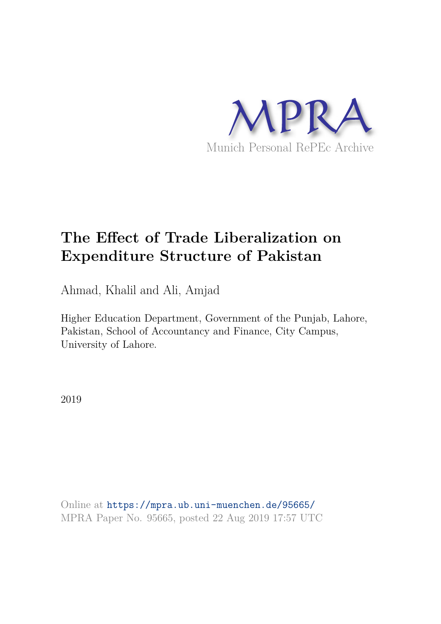

# **The Effect of Trade Liberalization on Expenditure Structure of Pakistan**

Ahmad, Khalil and Ali, Amjad

Higher Education Department, Government of the Punjab, Lahore, Pakistan, School of Accountancy and Finance, City Campus, University of Lahore.

2019

Online at https://mpra.ub.uni-muenchen.de/95665/ MPRA Paper No. 95665, posted 22 Aug 2019 17:57 UTC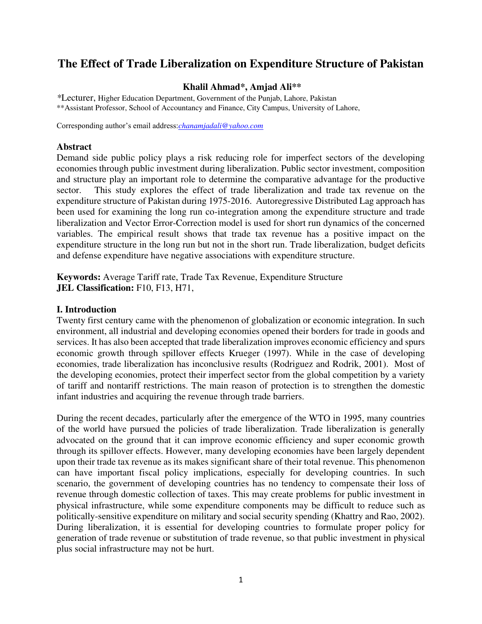# **The Effect of Trade Liberalization on Expenditure Structure of Pakistan**

#### **Khalil Ahmad\*, Amjad Ali\*\***

*\**Lecturer, Higher Education Department, Government of the Punjab, Lahore, Pakistan \*\*Assistant Professor, School of Accountancy and Finance, City Campus, University of Lahore,

Corresponding author's email address:*[chanamjadali@yahoo.com](mailto:chanamjadali@yahoo.com)*

#### **Abstract**

Demand side public policy plays a risk reducing role for imperfect sectors of the developing economies through public investment during liberalization. Public sector investment, composition and structure play an important role to determine the comparative advantage for the productive sector. This study explores the effect of trade liberalization and trade tax revenue on the expenditure structure of Pakistan during 1975-2016. Autoregressive Distributed Lag approach has been used for examining the long run co-integration among the expenditure structure and trade liberalization and Vector Error-Correction model is used for short run dynamics of the concerned variables. The empirical result shows that trade tax revenue has a positive impact on the expenditure structure in the long run but not in the short run. Trade liberalization, budget deficits and defense expenditure have negative associations with expenditure structure.

**Keywords:** Average Tariff rate, Trade Tax Revenue, Expenditure Structure **JEL Classification:** F10, F13, H71,

#### **I. Introduction**

Twenty first century came with the phenomenon of globalization or economic integration. In such environment, all industrial and developing economies opened their borders for trade in goods and services. It has also been accepted that trade liberalization improves economic efficiency and spurs economic growth through spillover effects Krueger (1997). While in the case of developing economies, trade liberalization has inconclusive results (Rodriguez and Rodrik, 2001). Most of the developing economies, protect their imperfect sector from the global competition by a variety of tariff and nontariff restrictions. The main reason of protection is to strengthen the domestic infant industries and acquiring the revenue through trade barriers.

During the recent decades, particularly after the emergence of the WTO in 1995, many countries of the world have pursued the policies of trade liberalization. Trade liberalization is generally advocated on the ground that it can improve economic efficiency and super economic growth through its spillover effects. However, many developing economies have been largely dependent upon their trade tax revenue as its makes significant share of their total revenue. This phenomenon can have important fiscal policy implications, especially for developing countries. In such scenario, the government of developing countries has no tendency to compensate their loss of revenue through domestic collection of taxes. This may create problems for public investment in physical infrastructure, while some expenditure components may be difficult to reduce such as politically-sensitive expenditure on military and social security spending (Khattry and Rao, 2002). During liberalization, it is essential for developing countries to formulate proper policy for generation of trade revenue or substitution of trade revenue, so that public investment in physical plus social infrastructure may not be hurt.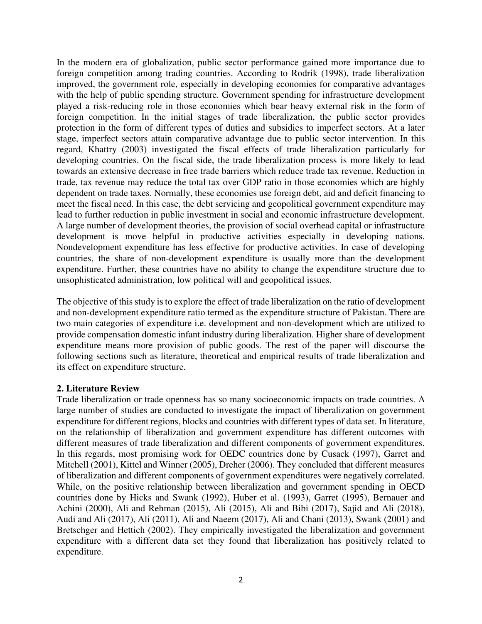In the modern era of globalization, public sector performance gained more importance due to foreign competition among trading countries. According to Rodrik (1998), trade liberalization improved, the government role, especially in developing economies for comparative advantages with the help of public spending structure. Government spending for infrastructure development played a risk-reducing role in those economies which bear heavy external risk in the form of foreign competition. In the initial stages of trade liberalization, the public sector provides protection in the form of different types of duties and subsidies to imperfect sectors. At a later stage, imperfect sectors attain comparative advantage due to public sector intervention. In this regard, Khattry (2003) investigated the fiscal effects of trade liberalization particularly for developing countries. On the fiscal side, the trade liberalization process is more likely to lead towards an extensive decrease in free trade barriers which reduce trade tax revenue. Reduction in trade, tax revenue may reduce the total tax over GDP ratio in those economies which are highly dependent on trade taxes. Normally, these economies use foreign debt, aid and deficit financing to meet the fiscal need. In this case, the debt servicing and geopolitical government expenditure may lead to further reduction in public investment in social and economic infrastructure development. A large number of development theories, the provision of social overhead capital or infrastructure development is move helpful in productive activities especially in developing nations. Nondevelopment expenditure has less effective for productive activities. In case of developing countries, the share of non-development expenditure is usually more than the development expenditure. Further, these countries have no ability to change the expenditure structure due to unsophisticated administration, low political will and geopolitical issues.

The objective of this study is to explore the effect of trade liberalization on the ratio of development and non-development expenditure ratio termed as the expenditure structure of Pakistan. There are two main categories of expenditure i.e. development and non-development which are utilized to provide compensation domestic infant industry during liberalization. Higher share of development expenditure means more provision of public goods. The rest of the paper will discourse the following sections such as literature, theoretical and empirical results of trade liberalization and its effect on expenditure structure.

### **2. Literature Review**

Trade liberalization or trade openness has so many socioeconomic impacts on trade countries. A large number of studies are conducted to investigate the impact of liberalization on government expenditure for different regions, blocks and countries with different types of data set. In literature, on the relationship of liberalization and government expenditure has different outcomes with different measures of trade liberalization and different components of government expenditures. In this regards, most promising work for OEDC countries done by Cusack (1997), Garret and Mitchell (2001), Kittel and Winner (2005), Dreher (2006). They concluded that different measures of liberalization and different components of government expenditures were negatively correlated. While, on the positive relationship between liberalization and government spending in OECD countries done by Hicks and Swank (1992), Huber et al. (1993), Garret (1995), Bernauer and Achini (2000), Ali and Rehman (2015), Ali (2015), Ali and Bibi (2017), Sajid and Ali (2018), Audi and Ali (2017), Ali (2011), Ali and Naeem (2017), Ali and Chani (2013), Swank (2001) and Bretschger and Hettich (2002). They empirically investigated the liberalization and government expenditure with a different data set they found that liberalization has positively related to expenditure.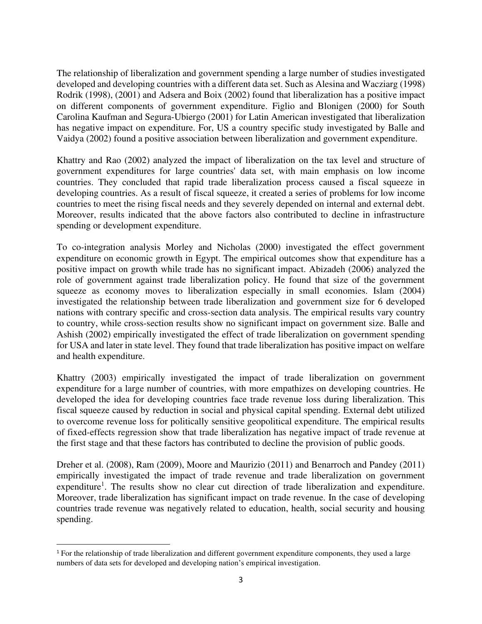The relationship of liberalization and government spending a large number of studies investigated developed and developing countries with a different data set. Such as Alesina and Wacziarg (1998) Rodrik (1998), (2001) and Adsera and Boix (2002) found that liberalization has a positive impact on different components of government expenditure. Figlio and Blonigen (2000) for South Carolina Kaufman and Segura-Ubiergo (2001) for Latin American investigated that liberalization has negative impact on expenditure. For, US a country specific study investigated by Balle and Vaidya (2002) found a positive association between liberalization and government expenditure.

Khattry and Rao (2002) analyzed the impact of liberalization on the tax level and structure of government expenditures for large countries' data set, with main emphasis on low income countries. They concluded that rapid trade liberalization process caused a fiscal squeeze in developing countries. As a result of fiscal squeeze, it created a series of problems for low income countries to meet the rising fiscal needs and they severely depended on internal and external debt. Moreover, results indicated that the above factors also contributed to decline in infrastructure spending or development expenditure.

To co-integration analysis Morley and Nicholas (2000) investigated the effect government expenditure on economic growth in Egypt. The empirical outcomes show that expenditure has a positive impact on growth while trade has no significant impact. Abizadeh (2006) analyzed the role of government against trade liberalization policy. He found that size of the government squeeze as economy moves to liberalization especially in small economies. Islam (2004) investigated the relationship between trade liberalization and government size for 6 developed nations with contrary specific and cross-section data analysis. The empirical results vary country to country, while cross-section results show no significant impact on government size. Balle and Ashish (2002) empirically investigated the effect of trade liberalization on government spending for USA and later in state level. They found that trade liberalization has positive impact on welfare and health expenditure.

Khattry (2003) empirically investigated the impact of trade liberalization on government expenditure for a large number of countries, with more empathizes on developing countries. He developed the idea for developing countries face trade revenue loss during liberalization. This fiscal squeeze caused by reduction in social and physical capital spending. External debt utilized to overcome revenue loss for politically sensitive geopolitical expenditure. The empirical results of fixed-effects regression show that trade liberalization has negative impact of trade revenue at the first stage and that these factors has contributed to decline the provision of public goods.

Dreher et al. (2008), Ram (2009), Moore and Maurizio (2011) and Benarroch and Pandey (2011) empirically investigated the impact of trade revenue and trade liberalization on government expenditure<sup>1</sup>. The results show no clear cut direction of trade liberalization and expenditure. Moreover, trade liberalization has significant impact on trade revenue. In the case of developing countries trade revenue was negatively related to education, health, social security and housing spending.

<sup>&</sup>lt;sup>1</sup> For the relationship of trade liberalization and different government expenditure components, they used a large numbers of data sets for developed and developing nation's empirical investigation.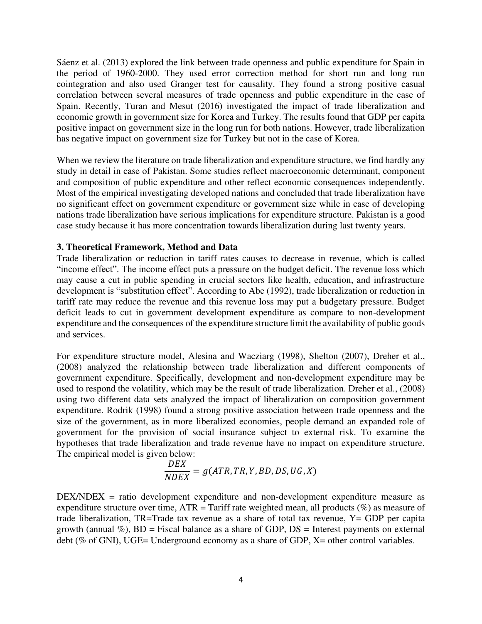Sáenz et al. (2013) explored the link between trade openness and public expenditure for Spain in the period of 1960-2000. They used error correction method for short run and long run cointegration and also used Granger test for causality. They found a strong positive casual correlation between several measures of trade openness and public expenditure in the case of Spain. Recently, Turan and Mesut (2016) investigated the impact of trade liberalization and economic growth in government size for Korea and Turkey. The results found that GDP per capita positive impact on government size in the long run for both nations. However, trade liberalization has negative impact on government size for Turkey but not in the case of Korea.

When we review the literature on trade liberalization and expenditure structure, we find hardly any study in detail in case of Pakistan. Some studies reflect macroeconomic determinant, component and composition of public expenditure and other reflect economic consequences independently. Most of the empirical investigating developed nations and concluded that trade liberalization have no significant effect on government expenditure or government size while in case of developing nations trade liberalization have serious implications for expenditure structure. Pakistan is a good case study because it has more concentration towards liberalization during last twenty years.

#### **3. Theoretical Framework, Method and Data**

Trade liberalization or reduction in tariff rates causes to decrease in revenue, which is called "income effect". The income effect puts a pressure on the budget deficit. The revenue loss which may cause a cut in public spending in crucial sectors like health, education, and infrastructure development is "substitution effect". According to Abe (1992), trade liberalization or reduction in tariff rate may reduce the revenue and this revenue loss may put a budgetary pressure. Budget deficit leads to cut in government development expenditure as compare to non-development expenditure and the consequences of the expenditure structure limit the availability of public goods and services.

For expenditure structure model, Alesina and Wacziarg (1998), Shelton (2007), Dreher et al., (2008) analyzed the relationship between trade liberalization and different components of government expenditure. Specifically, development and non-development expenditure may be used to respond the volatility, which may be the result of trade liberalization. Dreher et al., (2008) using two different data sets analyzed the impact of liberalization on composition government expenditure. Rodrik (1998) found a strong positive association between trade openness and the size of the government, as in more liberalized economies, people demand an expanded role of government for the provision of social insurance subject to external risk. To examine the hypotheses that trade liberalization and trade revenue have no impact on expenditure structure. The empirical model is given below:

$$
\frac{DEX}{NDEX} = g(ATR, TR, Y, BD, DS, UG, X)
$$

DEX/NDEX = ratio development expenditure and non-development expenditure measure as expenditure structure over time,  $ATR = T \text{ariff}$  rate weighted mean, all products (%) as measure of trade liberalization, TR=Trade tax revenue as a share of total tax revenue, Y= GDP per capita growth (annual  $\%$ ), BD = Fiscal balance as a share of GDP, DS = Interest payments on external debt (% of GNI), UGE= Underground economy as a share of GDP, X= other control variables.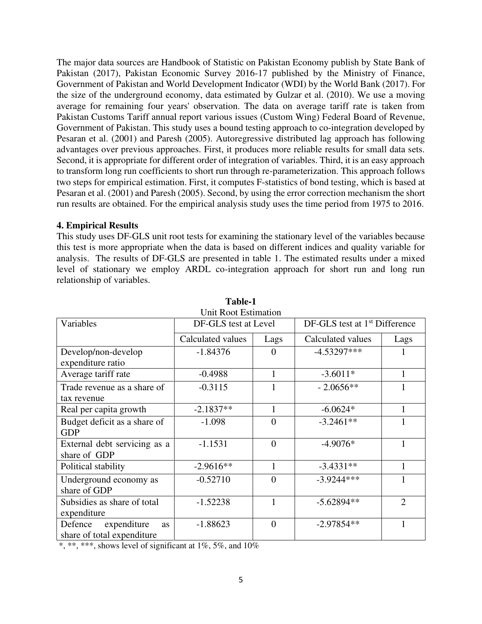The major data sources are Handbook of Statistic on Pakistan Economy publish by State Bank of Pakistan (2017), Pakistan Economic Survey 2016-17 published by the Ministry of Finance, Government of Pakistan and World Development Indicator (WDI) by the World Bank (2017). For the size of the underground economy, data estimated by Gulzar et al. (2010). We use a moving average for remaining four years' observation. The data on average tariff rate is taken from Pakistan Customs Tariff annual report various issues (Custom Wing) Federal Board of Revenue, Government of Pakistan. This study uses a bound testing approach to co-integration developed by Pesaran et al. (2001) and Paresh (2005). Autoregressive distributed lag approach has following advantages over previous approaches. First, it produces more reliable results for small data sets. Second, it is appropriate for different order of integration of variables. Third, it is an easy approach to transform long run coefficients to short run through re-parameterization. This approach follows two steps for empirical estimation. First, it computes F-statistics of bond testing, which is based at Pesaran et al. (2001) and Paresh (2005). Second, by using the error correction mechanism the short run results are obtained. For the empirical analysis study uses the time period from 1975 to 2016.

## **4. Empirical Results**

This study uses DF-GLS unit root tests for examining the stationary level of the variables because this test is more appropriate when the data is based on different indices and quality variable for analysis. The results of DF-GLS are presented in table 1. The estimated results under a mixed level of stationary we employ ARDL co-integration approach for short run and long run relationship of variables.

| Variables                    | Unit Root Estimation<br>DF-GLS test at Level |                 | $DF-GLS$ test at $1st$ Difference |                |
|------------------------------|----------------------------------------------|-----------------|-----------------------------------|----------------|
|                              | Calculated values<br>Lags                    |                 | Calculated values                 | Lags           |
| Develop/non-develop          | $-1.84376$                                   | 0               | $-4.53297***$                     |                |
| expenditure ratio            |                                              |                 |                                   |                |
| Average tariff rate          | $-0.4988$                                    | 1<br>$-3.6011*$ |                                   | 1              |
| Trade revenue as a share of  | $-0.3115$                                    | 1               | $-2.0656**$                       |                |
| tax revenue                  |                                              |                 |                                   |                |
| Real per capita growth       | $-2.1837**$                                  | 1               | $-6.0624*$                        | $\mathbf{1}$   |
| Budget deficit as a share of | $-1.098$                                     | $\theta$        | $-3.2461**$                       |                |
| <b>GDP</b>                   |                                              |                 |                                   |                |
| External debt servicing as a | $-1.1531$                                    | $\overline{0}$  | $-4.9076*$                        |                |
| share of GDP                 |                                              |                 |                                   |                |
| Political stability          | $-2.9616**$                                  | 1               | $-3.4331**$                       | 1              |
| Underground economy as       | $-0.52710$                                   | $\overline{0}$  | $-3.9244***$                      |                |
| share of GDP                 |                                              |                 |                                   |                |
| Subsidies as share of total  | $-1.52238$                                   | 1               | $-5.62894**$                      | $\overline{2}$ |
| expenditure                  |                                              |                 |                                   |                |
| Defence<br>expenditure<br>as | $-1.88623$                                   | $\overline{0}$  | $-2.97854**$                      |                |
| share of total expenditure   |                                              |                 |                                   |                |

**Table-1** 

\*, \*\*, \*\*\*, shows level of significant at  $1\%$ , 5%, and  $10\%$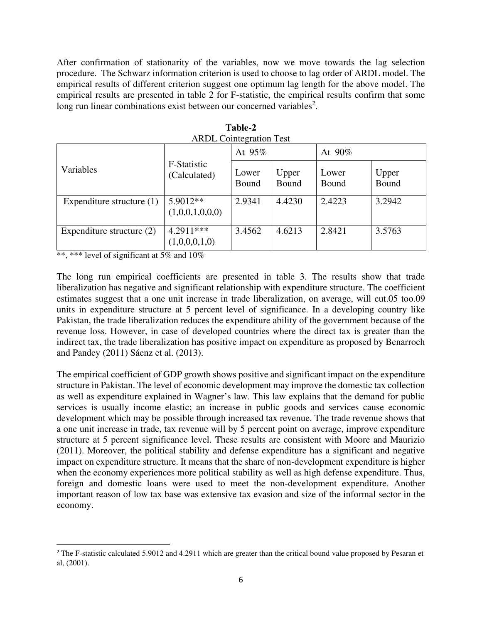After confirmation of stationarity of the variables, now we move towards the lag selection procedure. The Schwarz information criterion is used to choose to lag order of ARDL model. The empirical results of different criterion suggest one optimum lag length for the above model. The empirical results are presented in table 2 for F-statistic, the empirical results confirm that some long run linear combinations exist between our concerned variables<sup>2</sup>.

| THADL COMINGIATION TOST     |                              |                       |                |                |                |
|-----------------------------|------------------------------|-----------------------|----------------|----------------|----------------|
|                             |                              | At 95%                |                | At $90\%$      |                |
| Variables                   | F-Statistic<br>(Calculated)  | Lower<br><b>Bound</b> | Upper<br>Bound | Lower<br>Bound | Upper<br>Bound |
| Expenditure structure $(1)$ | 5.9012**<br>(1,0,0,1,0,0,0)  | 2.9341                | 4.4230         | 2.4223         | 3.2942         |
| Expenditure structure (2)   | $4.2911***$<br>(1,0,0,0,1,0) | 3.4562                | 4.6213         | 2.8421         | 3.5763         |

**Table-2**  ARDL Cointegration Test

\*\*, \*\*\* level of significant at 5% and 10%

The long run empirical coefficients are presented in table 3. The results show that trade liberalization has negative and significant relationship with expenditure structure. The coefficient estimates suggest that a one unit increase in trade liberalization, on average, will cut.05 too.09 units in expenditure structure at 5 percent level of significance. In a developing country like Pakistan, the trade liberalization reduces the expenditure ability of the government because of the revenue loss. However, in case of developed countries where the direct tax is greater than the indirect tax, the trade liberalization has positive impact on expenditure as proposed by Benarroch and Pandey (2011) Sáenz et al. (2013).

The empirical coefficient of GDP growth shows positive and significant impact on the expenditure structure in Pakistan. The level of economic development may improve the domestic tax collection as well as expenditure explained in Wagner's law. This law explains that the demand for public services is usually income elastic; an increase in public goods and services cause economic development which may be possible through increased tax revenue. The trade revenue shows that a one unit increase in trade, tax revenue will by 5 percent point on average, improve expenditure structure at 5 percent significance level. These results are consistent with Moore and Maurizio (2011). Moreover, the political stability and defense expenditure has a significant and negative impact on expenditure structure. It means that the share of non-development expenditure is higher when the economy experiences more political stability as well as high defense expenditure. Thus, foreign and domestic loans were used to meet the non-development expenditure. Another important reason of low tax base was extensive tax evasion and size of the informal sector in the economy.

<sup>&</sup>lt;sup>2</sup> The F-statistic calculated 5.9012 and 4.2911 which are greater than the critical bound value proposed by Pesaran et al, (2001).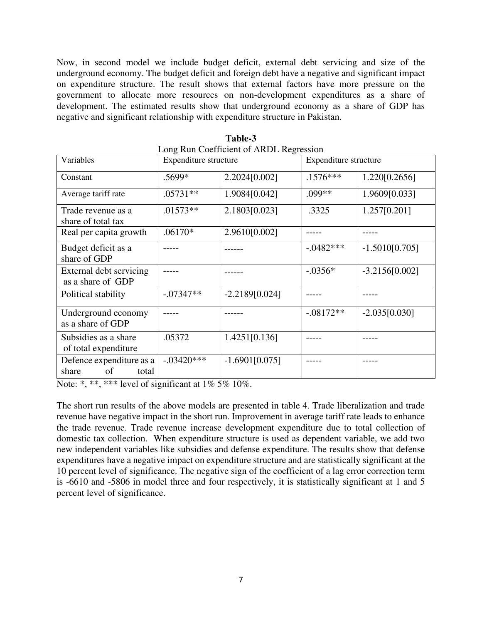Now, in second model we include budget deficit, external debt servicing and size of the underground economy. The budget deficit and foreign debt have a negative and significant impact on expenditure structure. The result shows that external factors have more pressure on the government to allocate more resources on non-development expenditures as a share of development. The estimated results show that underground economy as a share of GDP has negative and significant relationship with expenditure structure in Pakistan.

| Variables                                        | Expenditure structure |                  | Expenditure structure |                  |
|--------------------------------------------------|-----------------------|------------------|-----------------------|------------------|
| Constant                                         | .5699*                | 2.2024[0.002]    | $.1576***$            | 1.220[0.2656]    |
| Average tariff rate                              | $.05731**$            | 1.9084[0.042]    | .099**                | 1.9609[0.033]    |
| Trade revenue as a<br>share of total tax         | $.01573**$            | 2.1803[0.023]    | .3325                 | 1.257[0.201]     |
| Real per capita growth                           | $.06170*$             | 2.9610[0.002]    |                       |                  |
| Budget deficit as a<br>share of GDP              |                       |                  | $-0.0482***$          | $-1.5010[0.705]$ |
| External debt servicing<br>as a share of GDP     |                       |                  | $-.0356*$             | $-3.2156[0.002]$ |
| Political stability                              | $-.07347**$           | $-2.2189[0.024]$ |                       |                  |
| Underground economy<br>as a share of GDP         |                       |                  | $-.08172**$           | $-2.035[0.030]$  |
| Subsidies as a share<br>of total expenditure     | .05372                | 1.4251[0.136]    |                       |                  |
| Defence expenditure as a<br>share<br>of<br>total | $-.03420***$          | $-1.6901[0.075]$ |                       |                  |

**Table-3**  Long Run Coefficient of ARDL Regression

Note: \*, \*\*, \*\*\* level of significant at  $1\%$  5%  $10\%$ .

The short run results of the above models are presented in table 4. Trade liberalization and trade revenue have negative impact in the short run. Improvement in average tariff rate leads to enhance the trade revenue. Trade revenue increase development expenditure due to total collection of domestic tax collection. When expenditure structure is used as dependent variable, we add two new independent variables like subsidies and defense expenditure. The results show that defense expenditures have a negative impact on expenditure structure and are statistically significant at the 10 percent level of significance. The negative sign of the coefficient of a lag error correction term is -6610 and -5806 in model three and four respectively, it is statistically significant at 1 and 5 percent level of significance.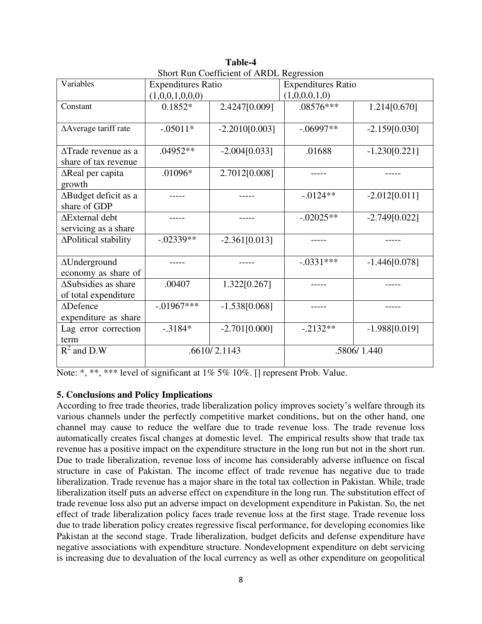| SHOTE KUH COCHICICIII OF AKDL KOGIOSSION |                           |                  |                           |                 |  |
|------------------------------------------|---------------------------|------------------|---------------------------|-----------------|--|
| Variables                                | <b>Expenditures Ratio</b> |                  | <b>Expenditures Ratio</b> |                 |  |
|                                          | (1,0,0,1,0,0,0)           |                  | (1,0,0,0,1,0)             |                 |  |
| Constant                                 | $0.1852*$                 | 2.4247[0.009]    | .08576***                 | 1.214[0.670]    |  |
|                                          |                           |                  |                           |                 |  |
| ∆Average tariff rate                     | $-.05011*$                | $-2.2010[0.003]$ | $-.06997**$               | $-2.159[0.030]$ |  |
|                                          |                           |                  |                           |                 |  |
| $\triangle$ Trade revenue as a           | $.04952**$                | $-2.004[0.033]$  | .01688                    | $-1.230[0.221]$ |  |
| share of tax revenue                     |                           |                  |                           |                 |  |
| $\Delta$ Real per capita                 | $.01096*$                 | 2.7012[0.008]    |                           |                 |  |
| growth                                   |                           |                  |                           |                 |  |
| ∆Budget deficit as a                     |                           |                  | $-0.0124**$               | $-2.012[0.011]$ |  |
| share of GDP                             |                           |                  |                           |                 |  |
| ∆External debt                           |                           |                  | $-0.02025**$              | $-2.749[0.022]$ |  |
| servicing as a share                     |                           |                  |                           |                 |  |
| ∆Political stability                     | $-.02339**$               | $-2.361[0.013]$  |                           |                 |  |
|                                          |                           |                  |                           |                 |  |
| $\Delta$ Underground                     |                           |                  | $-.0331***$               | $-1.446[0.078]$ |  |
| economy as share of                      |                           |                  |                           |                 |  |
| ∆Subsidies as share                      | .00407                    | 1.322[0.267]     |                           |                 |  |
| of total expenditure                     |                           |                  |                           |                 |  |
| $\triangle$ Defence                      | $-.01967***$              | $-1.538[0.068]$  |                           |                 |  |
| expenditure as share                     |                           |                  |                           |                 |  |
| Lag error correction                     | $-0.3184*$                | $-2.701[0.000]$  | $-.2132**$                | $-1.988[0.019]$ |  |
| term                                     |                           |                  |                           |                 |  |
| $R^2$ and D.W                            | .6610/2.1143              |                  | .5806/1.440               |                 |  |
|                                          |                           |                  |                           |                 |  |

**Table-4**  Short Run Coefficient of ARDI Regression

Note: \*, \*\*, \*\*\* level of significant at 1% 5% 10%. [] represent Prob. Value.

# **5. Conclusions and Policy Implications**

According to free trade theories, trade liberalization policy improves society's welfare through its various channels under the perfectly competitive market conditions, but on the other hand, one channel may cause to reduce the welfare due to trade revenue loss. The trade revenue loss automatically creates fiscal changes at domestic level. The empirical results show that trade tax revenue has a positive impact on the expenditure structure in the long run but not in the short run. Due to trade liberalization, revenue loss of income has considerably adverse influence on fiscal structure in case of Pakistan. The income effect of trade revenue has negative due to trade liberalization. Trade revenue has a major share in the total tax collection in Pakistan. While, trade liberalization itself puts an adverse effect on expenditure in the long run. The substitution effect of trade revenue loss also put an adverse impact on development expenditure in Pakistan. So, the net effect of trade liberalization policy faces trade revenue loss at the first stage. Trade revenue loss due to trade liberation policy creates regressive fiscal performance, for developing economies like Pakistan at the second stage. Trade liberalization, budget deficits and defense expenditure have negative associations with expenditure structure. Nondevelopment expenditure on debt servicing is increasing due to devaluation of the local currency as well as other expenditure on geopolitical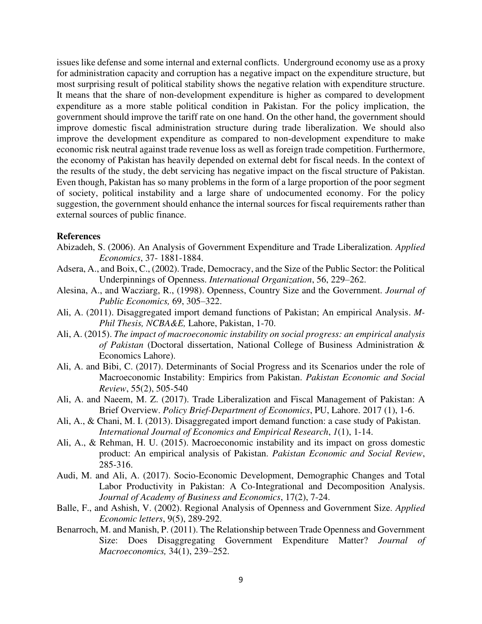issues like defense and some internal and external conflicts. Underground economy use as a proxy for administration capacity and corruption has a negative impact on the expenditure structure, but most surprising result of political stability shows the negative relation with expenditure structure. It means that the share of non-development expenditure is higher as compared to development expenditure as a more stable political condition in Pakistan. For the policy implication, the government should improve the tariff rate on one hand. On the other hand, the government should improve domestic fiscal administration structure during trade liberalization. We should also improve the development expenditure as compared to non-development expenditure to make economic risk neutral against trade revenue loss as well as foreign trade competition. Furthermore, the economy of Pakistan has heavily depended on external debt for fiscal needs. In the context of the results of the study, the debt servicing has negative impact on the fiscal structure of Pakistan. Even though, Pakistan has so many problems in the form of a large proportion of the poor segment of society, political instability and a large share of undocumented economy. For the policy suggestion, the government should enhance the internal sources for fiscal requirements rather than external sources of public finance.

### **References**

- Abizadeh, S. (2006). An Analysis of Government Expenditure and Trade Liberalization*. Applied Economics*, 37- 1881-1884.
- Adsera, A., and Boix, C., (2002). Trade, Democracy, and the Size of the Public Sector: the Political Underpinnings of Openness. *International Organization*, 56, 229–262.
- Alesina, A., and Wacziarg, R., (1998). Openness, Country Size and the Government. *Journal of Public Economics,* 69, 305–322.
- Ali, A. (2011). Disaggregated import demand functions of Pakistan; An empirical Analysis. *M-Phil Thesis, NCBA&E,* Lahore, Pakistan, 1-70.
- Ali, A. (2015). *The impact of macroeconomic instability on social progress: an empirical analysis of Pakistan* (Doctoral dissertation, National College of Business Administration & Economics Lahore).
- Ali, A. and Bibi, C. (2017). Determinants of Social Progress and its Scenarios under the role of Macroeconomic Instability: Empirics from Pakistan. *Pakistan Economic and Social Review*, 55(2), 505-540
- Ali, A. and Naeem, M. Z. (2017). Trade Liberalization and Fiscal Management of Pakistan: A Brief Overview. *Policy Brief-Department of Economics*, PU, Lahore. 2017 (1), 1-6.
- Ali, A., & Chani, M. I. (2013). Disaggregated import demand function: a case study of Pakistan. *International Journal of Economics and Empirical Research*, *1*(1), 1-14.
- Ali, A., & Rehman, H. U. (2015). Macroeconomic instability and its impact on gross domestic product: An empirical analysis of Pakistan. *Pakistan Economic and Social Review*, 285-316.
- Audi, M. and Ali, A. (2017). Socio-Economic Development, Demographic Changes and Total Labor Productivity in Pakistan: A Co-Integrational and Decomposition Analysis. *Journal of Academy of Business and Economics*, 17(2), 7-24.
- Balle, F., and Ashish, V. (2002). Regional Analysis of Openness and Government Size. *Applied Economic letters*, 9(5), 289-292.
- Benarroch, M. and Manish, P. (2011). The Relationship between Trade Openness and Government Size: Does Disaggregating Government Expenditure Matter? *Journal of Macroeconomics,* 34(1), 239–252.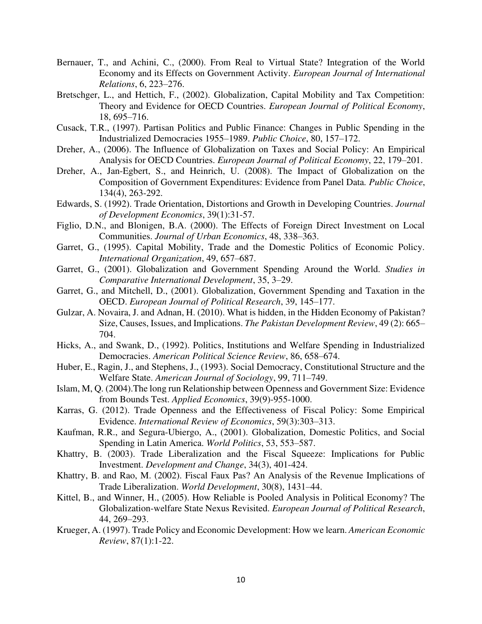- Bernauer, T., and Achini, C., (2000). From Real to Virtual State? Integration of the World Economy and its Effects on Government Activity. *European Journal of International Relations*, 6, 223–276.
- Bretschger, L., and Hettich, F., (2002). Globalization, Capital Mobility and Tax Competition: Theory and Evidence for OECD Countries. *European Journal of Political Economy*, 18, 695–716.
- Cusack, T.R., (1997). Partisan Politics and Public Finance: Changes in Public Spending in the Industrialized Democracies 1955–1989. *Public Choice*, 80, 157–172.
- Dreher, A., (2006). The Influence of Globalization on Taxes and Social Policy: An Empirical Analysis for OECD Countries. *European Journal of Political Economy*, 22, 179–201.
- Dreher, A., Jan-Egbert, S., and Heinrich, U. (2008). The Impact of Globalization on the Composition of Government Expenditures: Evidence from Panel Data*. Public Choice*, 134(4), 263-292.
- Edwards, S. (1992). Trade Orientation, Distortions and Growth in Developing Countries. *Journal of Development Economics*, 39(1):31-57.
- Figlio, D.N., and Blonigen, B.A. (2000). The Effects of Foreign Direct Investment on Local Communities. *Journal of Urban Economics*, 48, 338–363.
- Garret, G., (1995). Capital Mobility, Trade and the Domestic Politics of Economic Policy. *International Organization*, 49, 657–687.
- Garret, G., (2001). Globalization and Government Spending Around the World. *Studies in Comparative International Development*, 35, 3–29.
- Garret, G., and Mitchell, D., (2001). Globalization, Government Spending and Taxation in the OECD. *European Journal of Political Research*, 39, 145–177.
- Gulzar, A. Novaira, J. and Adnan, H. (2010). What is hidden, in the Hidden Economy of Pakistan? Size, Causes, Issues, and Implications. *The Pakistan Development Review*, 49 (2): 665– 704.
- Hicks, A., and Swank, D., (1992). Politics, Institutions and Welfare Spending in Industrialized Democracies. *American Political Science Review*, 86, 658–674.
- Huber, E., Ragin, J., and Stephens, J., (1993). Social Democracy, Constitutional Structure and the Welfare State. *American Journal of Sociology*, 99, 711–749.
- Islam, M, Q. (2004).The long run Relationship between Openness and Government Size: Evidence from Bounds Test. *Applied Economics*, 39(9)-955-1000.
- Karras, G. (2012). Trade Openness and the Effectiveness of Fiscal Policy: Some Empirical Evidence. *International Review of Economics*, 59(3):303–313.
- Kaufman, R.R., and Segura-Ubiergo, A., (2001). Globalization, Domestic Politics, and Social Spending in Latin America. *World Politics*, 53, 553–587.
- Khattry, B. (2003). Trade Liberalization and the Fiscal Squeeze: Implications for Public Investment. *Development and Change*, 34(3), 401-424.
- Khattry, B. and Rao, M. (2002). Fiscal Faux Pas? An Analysis of the Revenue Implications of Trade Liberalization. *World Development*, 30(8), 1431–44.
- Kittel, B., and Winner, H., (2005). How Reliable is Pooled Analysis in Political Economy? The Globalization-welfare State Nexus Revisited. *European Journal of Political Research*, 44, 269–293.
- Krueger, A. (1997). Trade Policy and Economic Development: How we learn. *American Economic Review*, 87(1):1-22.